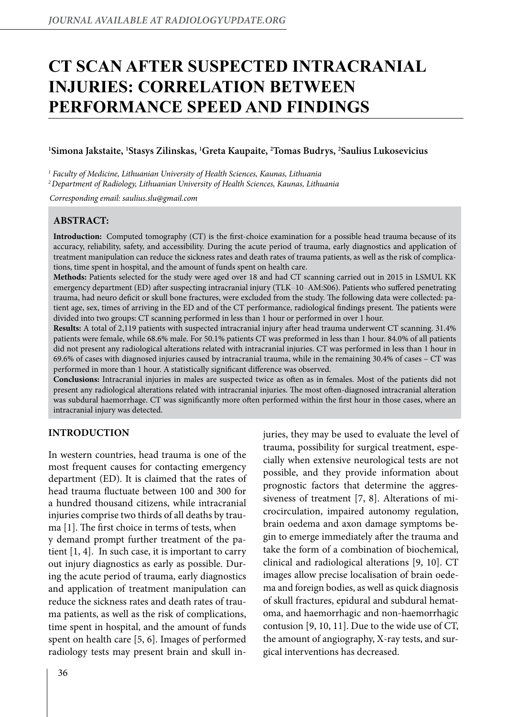# **CT scan after suspected intracranial injuries: correlation between performance speed and findings**

# **1 Simona Jakstaite, 1 Stasys Zilinskas, 1 Greta Kaupaite, 2 Tomas Budrys, 2 Saulius Lukosevicius**

*1 Faculty of Medicine, Lithuanian University of Health Sciences, Kaunas, Lithuania*

*2 Department of Radiology, Lithuanian University of Health Sciences, Kaunas, Lithuania*

*Corresponding email: saulius.slu@gmail.com*

## **Abstract:**

**Introduction:** Computed tomography (CT) is the first-choice examination for a possible head trauma because of its accuracy, reliability, safety, and accessibility. During the acute period of trauma, early diagnostics and application of treatment manipulation can reduce the sickness rates and death rates of trauma patients, as well as the risk of complications, time spent in hospital, and the amount of funds spent on health care.

**Methods:** Patients selected for the study were aged over 18 and had CT scanning carried out in 2015 in LSMUL KK emergency department (ED) after suspecting intracranial injury (TLK*–*10*–*AM:S06). Patients who suffered penetrating trauma, had neuro deficit or skull bone fractures, were excluded from the study. The following data were collected: patient age, sex, times of arriving in the ED and of the CT performance, radiological findings present. The patients were divided into two groups: CT scanning performed in less than 1 hour or performed in over 1 hour.

**Results:** A total of 2,119 patients with suspected intracranial injury after head trauma underwent CT scanning. 31.4% patients were female, while 68.6% male. For 50.1% patients CT was preformed in less than 1 hour. 84.0% of all patients did not present any radiological alterations related with intracranial injuries. CT was performed in less than 1 hour in 69.6% of cases with diagnosed injuries caused by intracranial trauma, while in the remaining 30.4% of cases – CT was performed in more than 1 hour. A statistically significant difference was observed.

**Conclusions:** Intracranial injuries in males are suspected twice as often as in females. Most of the patients did not present any radiological alterations related with intracranial injuries. The most often-diagnosed intracranial alteration was subdural haemorrhage. CT was significantly more often performed within the first hour in those cases, where an intracranial injury was detected.

# **Introduction**

In western countries, head trauma is one of the most frequent causes for contacting emergency department (ED). It is claimed that the rates of head trauma fluctuate between 100 and 300 for a hundred thousand citizens, while intracranial injuries comprise two thirds of all deaths by trauma [1]. The first choice in terms of tests, when y demand prompt further treatment of the patient [1, 4]. In such case, it is important to carry out injury diagnostics as early as possible. During the acute period of trauma, early diagnostics and application of treatment manipulation can reduce the sickness rates and death rates of trauma patients, as well as the risk of complications, time spent in hospital, and the amount of funds spent on health care [5, 6]. Images of performed radiology tests may present brain and skull injuries, they may be used to evaluate the level of trauma, possibility for surgical treatment, especially when extensive neurological tests are not possible, and they provide information about prognostic factors that determine the aggressiveness of treatment [7, 8]. Alterations of microcirculation, impaired autonomy regulation, brain oedema and axon damage symptoms begin to emerge immediately after the trauma and take the form of a combination of biochemical, clinical and radiological alterations [9, 10]. CT images allow precise localisation of brain oedema and foreign bodies, as well as quick diagnosis of skull fractures, epidural and subdural hematoma, and haemorrhagic and non-haemorrhagic contusion [9, 10, 11]. Due to the wide use of CT, the amount of angiography, X-ray tests, and surgical interventions has decreased.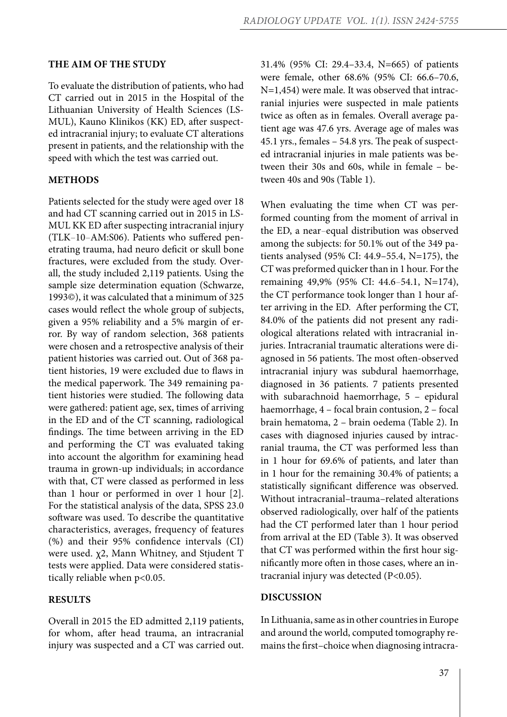## **The aim of the study**

To evaluate the distribution of patients, who had CT carried out in 2015 in the Hospital of the Lithuanian University of Health Sciences (LS-MUL), Kauno Klinikos (KK) ED, after suspected intracranial injury; to evaluate CT alterations present in patients, and the relationship with the speed with which the test was carried out.

#### **Methods**

Patients selected for the study were aged over 18 and had CT scanning carried out in 2015 in LS-MUL KK ED after suspecting intracranial injury (TLK*–*10*–*AM:S06). Patients who suffered penetrating trauma, had neuro deficit or skull bone fractures, were excluded from the study. Overall, the study included 2,119 patients. Using the sample size determination equation (Schwarze, 1993©), it was calculated that a minimum of 325 cases would reflect the whole group of subjects, given a 95% reliability and a 5% margin of error. By way of random selection, 368 patients were chosen and a retrospective analysis of their patient histories was carried out. Out of 368 patient histories, 19 were excluded due to flaws in the medical paperwork. The 349 remaining patient histories were studied. The following data were gathered: patient age, sex, times of arriving in the ED and of the CT scanning, radiological findings. The time between arriving in the ED and performing the CT was evaluated taking into account the algorithm for examining head trauma in grown-up individuals; in accordance with that, CT were classed as performed in less than 1 hour or performed in over 1 hour [2]. For the statistical analysis of the data, SPSS 23.0 software was used. To describe the quantitative characteristics, averages, frequency of features (%) and their 95% confidence intervals (CI) were used. χ2, Mann Whitney, and Stjudent T tests were applied. Data were considered statistically reliable when p<0.05.

## **Results**

Overall in 2015 the ED admitted 2,119 patients, for whom, after head trauma, an intracranial injury was suspected and a CT was carried out. 31.4% (95% CI: 29.4–33.4, N=665) of patients were female, other 68.6% (95% CI: 66.6–70.6, N=1,454) were male. It was observed that intracranial injuries were suspected in male patients twice as often as in females. Overall average patient age was 47.6 yrs. Average age of males was 45.1 yrs., females – 54.8 yrs. The peak of suspected intracranial injuries in male patients was between their 30s and 60s, while in female – between 40s and 90s (Table 1).

When evaluating the time when CT was performed counting from the moment of arrival in the ED, a near*–*equal distribution was observed among the subjects: for 50.1% out of the 349 patients analysed (95% CI: 44.9–55.4, N=175), the CT was preformed quicker than in 1 hour. For the remaining 49,9% (95% CI: 44.6*–*54.1, N=174), the CT performance took longer than 1 hour after arriving in the ED. After performing the CT, 84.0% of the patients did not present any radiological alterations related with intracranial injuries. Intracranial traumatic alterations were diagnosed in 56 patients. The most often-observed intracranial injury was subdural haemorrhage, diagnosed in 36 patients. 7 patients presented with subarachnoid haemorrhage, 5 – epidural haemorrhage, 4 – focal brain contusion, 2 – focal brain hematoma, 2 – brain oedema (Table 2). In cases with diagnosed injuries caused by intracranial trauma, the CT was performed less than in 1 hour for 69.6% of patients, and later than in 1 hour for the remaining 30.4% of patients; a statistically significant difference was observed. Without intracranial–trauma–related alterations observed radiologically, over half of the patients had the CT performed later than 1 hour period from arrival at the ED (Table 3). It was observed that CT was performed within the first hour significantly more often in those cases, where an intracranial injury was detected (P<0.05).

#### **Discussion**

In Lithuania, same as in other countries in Europe and around the world, computed tomography remains the first–choice when diagnosing intracra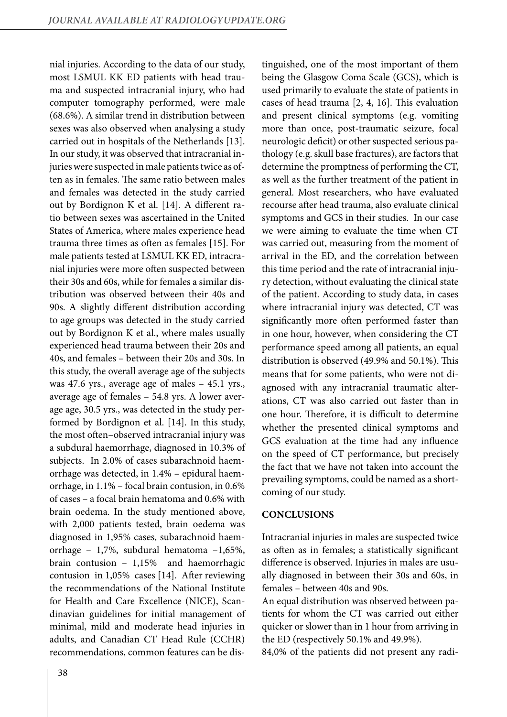nial injuries. According to the data of our study, most LSMUL KK ED patients with head trauma and suspected intracranial injury, who had computer tomography performed, were male (68.6%). A similar trend in distribution between sexes was also observed when analysing a study carried out in hospitals of the Netherlands [13]. In our study, it was observed that intracranial injuries were suspected in male patients twice as often as in females. The same ratio between males and females was detected in the study carried out by Bordignon K et al. [14]. A different ratio between sexes was ascertained in the United States of America, where males experience head trauma three times as often as females [15]. For male patients tested at LSMUL KK ED, intracranial injuries were more often suspected between their 30s and 60s, while for females a similar distribution was observed between their 40s and 90s. A slightly different distribution according to age groups was detected in the study carried out by Bordignon K et al., where males usually experienced head trauma between their 20s and 40s, and females – between their 20s and 30s. In this study, the overall average age of the subjects was 47.6 yrs., average age of males – 45.1 yrs., average age of females – 54.8 yrs. A lower average age, 30.5 yrs., was detected in the study performed by Bordignon et al. [14]. In this study, the most often–observed intracranial injury was a subdural haemorrhage, diagnosed in 10.3% of subjects. In 2.0% of cases subarachnoid haemorrhage was detected, in 1.4% – epidural haemorrhage, in 1.1% – focal brain contusion, in 0.6% of cases – a focal brain hematoma and 0.6% with brain oedema. In the study mentioned above, with 2,000 patients tested, brain oedema was diagnosed in 1,95% cases, subarachnoid haemorrhage – 1,7%, subdural hematoma –1,65%, brain contusion – 1,15% and haemorrhagic contusion in 1,05% cases [14]. After reviewing the recommendations of the National Institute for Health and Care Excellence (NICE), Scandinavian guidelines for initial management of minimal, mild and moderate head injuries in adults, and Canadian CT Head Rule (CCHR) recommendations, common features can be dis-

being the Glasgow Coma Scale (GCS), which is used primarily to evaluate the state of patients in cases of head trauma [2, 4, 16]. This evaluation and present clinical symptoms (e.g. vomiting more than once, post-traumatic seizure, focal neurologic deficit) or other suspected serious pathology (e.g. skull base fractures), are factors that determine the promptness of performing the CT, as well as the further treatment of the patient in general. Most researchers, who have evaluated recourse after head trauma, also evaluate clinical symptoms and GCS in their studies. In our case we were aiming to evaluate the time when CT was carried out, measuring from the moment of arrival in the ED, and the correlation between this time period and the rate of intracranial injury detection, without evaluating the clinical state of the patient. According to study data, in cases where intracranial injury was detected, CT was significantly more often performed faster than in one hour, however, when considering the CT performance speed among all patients, an equal distribution is observed (49.9% and 50.1%). This means that for some patients, who were not diagnosed with any intracranial traumatic alterations, CT was also carried out faster than in one hour. Therefore, it is difficult to determine whether the presented clinical symptoms and GCS evaluation at the time had any influence on the speed of CT performance, but precisely the fact that we have not taken into account the prevailing symptoms, could be named as a shortcoming of our study.

tinguished, one of the most important of them

## **Conclusions**

Intracranial injuries in males are suspected twice as often as in females; a statistically significant difference is observed. Injuries in males are usually diagnosed in between their 30s and 60s, in females – between 40s and 90s.

An equal distribution was observed between patients for whom the CT was carried out either quicker or slower than in 1 hour from arriving in the ED (respectively 50.1% and 49.9%).

84,0% of the patients did not present any radi-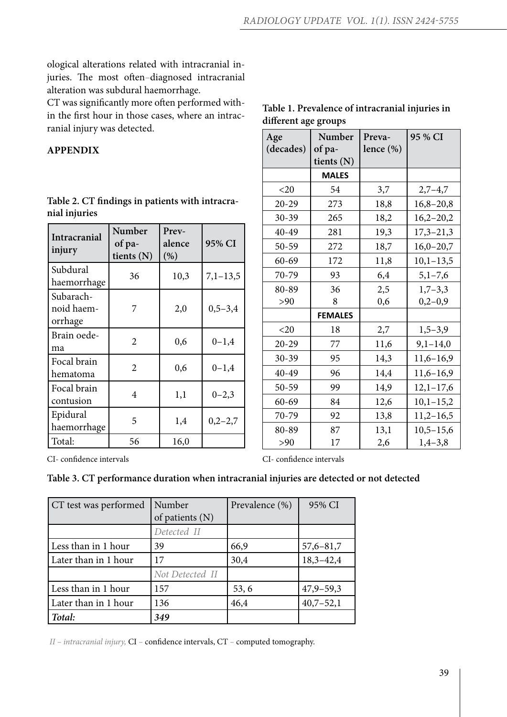ological alterations related with intracranial injuries. The most often*–*diagnosed intracranial alteration was subdural haemorrhage.

CT was significantly more often performed within the first hour in those cases, where an intracranial injury was detected.

# **Appendix**

| Intracranial<br>injury             | Number<br>of pa-<br>tients (N) | Prev-<br>alence<br>(%) | 95% CI     |
|------------------------------------|--------------------------------|------------------------|------------|
| Subdural<br>haemorrhage            | 36                             | 10,3                   | $7,1-13,5$ |
| Subarach-<br>noid haem-<br>orrhage | 7                              | 2,0                    | $0,5-3,4$  |
| Brain oede-<br>ma                  | 2                              | 0,6                    | $0 - 1,4$  |
| Focal brain<br>hematoma            | $\overline{2}$                 | 0,6                    | $0 - 1,4$  |
| Focal brain<br>contusion           | 4                              | 1,1                    | $0 - 2,3$  |
| Epidural<br>haemorrhage            | 5                              | 1,4                    | $0,2-2,7$  |
| Total:                             | 56                             | 16,0                   |            |

|               | Table 2. CT findings in patients with intracra- |
|---------------|-------------------------------------------------|
| nial injuries |                                                 |

# **Table 1. Prevalence of intracranial injuries in different age groups**

| Age       | Number         | Preva-       | 95 % CI       |
|-----------|----------------|--------------|---------------|
| (decades) | of pa-         | lence $(\%)$ |               |
|           | tients (N)     |              |               |
|           | <b>MALES</b>   |              |               |
| $<$ 20    | 54             | 3,7          | $2,7-4,7$     |
| $20 - 29$ | 273            | 18,8         | $16,8 - 20,8$ |
| $30 - 39$ | 265            | 18,2         | $16,2-20,2$   |
| 40-49     | 281            | 19,3         | $17,3 - 21,3$ |
| 50-59     | 272            | 18,7         | $16,0-20,7$   |
| $60 - 69$ | 172            | 11,8         | $10,1-13,5$   |
| 70-79     | 93             | 6,4          | $5,1 - 7,6$   |
| 80-89     | 36             | 2,5          | $1,7-3,3$     |
| >90       | 8              | 0,6          | $0,2-0,9$     |
|           | <b>FEMALES</b> |              |               |
| $<$ 20    | 18             | 2,7          | $1,5-3,9$     |
| $20 - 29$ | 77             | 11,6         | $9,1-14,0$    |
| $30 - 39$ | 95             | 14,3         | $11,6-16,9$   |
| 40-49     | 96             | 14,4         | $11,6-16,9$   |
| 50-59     | 99             | 14,9         | $12,1-17,6$   |
| $60 - 69$ | 84             | 12,6         | $10,1-15,2$   |
| 70-79     | 92             | 13,8         | $11,2-16,5$   |
| 80-89     | 87             | 13,1         | $10,5-15,6$   |
| >90       | 17             | 2,6          | $1,4-3,8$     |

CI- confidence intervals

CI- confidence intervals

## **Table 3. CT performance duration when intracranial injuries are detected or not detected**

| CT test was performed | Number<br>of patients (N) | Prevalence (%) | 95% CI        |
|-----------------------|---------------------------|----------------|---------------|
|                       | Detected II               |                |               |
| Less than in 1 hour   | 39                        | 66,9           | $57,6 - 81,7$ |
| Later than in 1 hour  | 17                        | 30,4           | $18,3 - 42,4$ |
|                       | Not Detected II           |                |               |
| Less than in 1 hour   | 157                       | 53, 6          | $47,9 - 59,3$ |
| Later than in 1 hour  | 136                       | 46,4           | $40,7-52,1$   |
| Total:                | 349                       |                |               |

*II – intracranial injury,* CI *–* confidence intervals, CT *–* computed tomography.